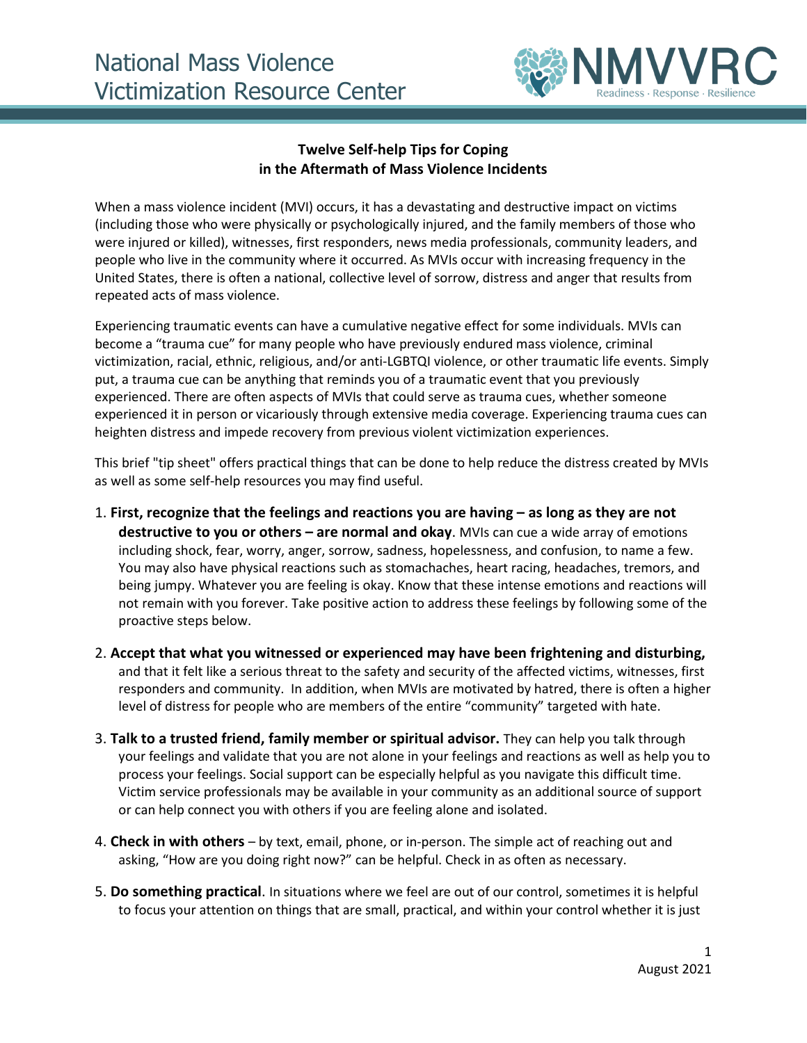

## **Twelve Self-help Tips for Coping in the Aftermath of Mass Violence Incidents**

When a mass violence incident (MVI) occurs, it has a devastating and destructive impact on victims (including those who were physically or psychologically injured, and the family members of those who were injured or killed), witnesses, first responders, news media professionals, community leaders, and people who live in the community where it occurred. As MVIs occur with increasing frequency in the United States, there is often a national, collective level of sorrow, distress and anger that results from repeated acts of mass violence.

Experiencing traumatic events can have a cumulative negative effect for some individuals. MVIs can become a "trauma cue" for many people who have previously endured mass violence, criminal victimization, racial, ethnic, religious, and/or anti-LGBTQI violence, or other traumatic life events. Simply put, a trauma cue can be anything that reminds you of a traumatic event that you previously experienced. There are often aspects of MVIs that could serve as trauma cues, whether someone experienced it in person or vicariously through extensive media coverage. Experiencing trauma cues can heighten distress and impede recovery from previous violent victimization experiences.

This brief "tip sheet" offers practical things that can be done to help reduce the distress created by MVIs as well as some self-help resources you may find useful.

- 1. **First, recognize that the feelings and reactions you are having – as long as they are not destructive to you or others – are normal and okay**. MVIs can cue a wide array of emotions including shock, fear, worry, anger, sorrow, sadness, hopelessness, and confusion, to name a few. You may also have physical reactions such as stomachaches, heart racing, headaches, tremors, and being jumpy. Whatever you are feeling is okay. Know that these intense emotions and reactions will not remain with you forever. Take positive action to address these feelings by following some of the proactive steps below.
- 2. **Accept that what you witnessed or experienced may have been frightening and disturbing,** and that it felt like a serious threat to the safety and security of the affected victims, witnesses, first responders and community. In addition, when MVIs are motivated by hatred, there is often a higher level of distress for people who are members of the entire "community" targeted with hate.
- 3. **Talk to a trusted friend, family member or spiritual advisor.** They can help you talk through your feelings and validate that you are not alone in your feelings and reactions as well as help you to process your feelings. Social support can be especially helpful as you navigate this difficult time. Victim service professionals may be available in your community as an additional source of support or can help connect you with others if you are feeling alone and isolated.
- 4. **Check in with others**  by text, email, phone, or in-person. The simple act of reaching out and asking, "How are you doing right now?" can be helpful. Check in as often as necessary.
- 5. **Do something practical**. In situations where we feel are out of our control, sometimes it is helpful to focus your attention on things that are small, practical, and within your control whether it is just